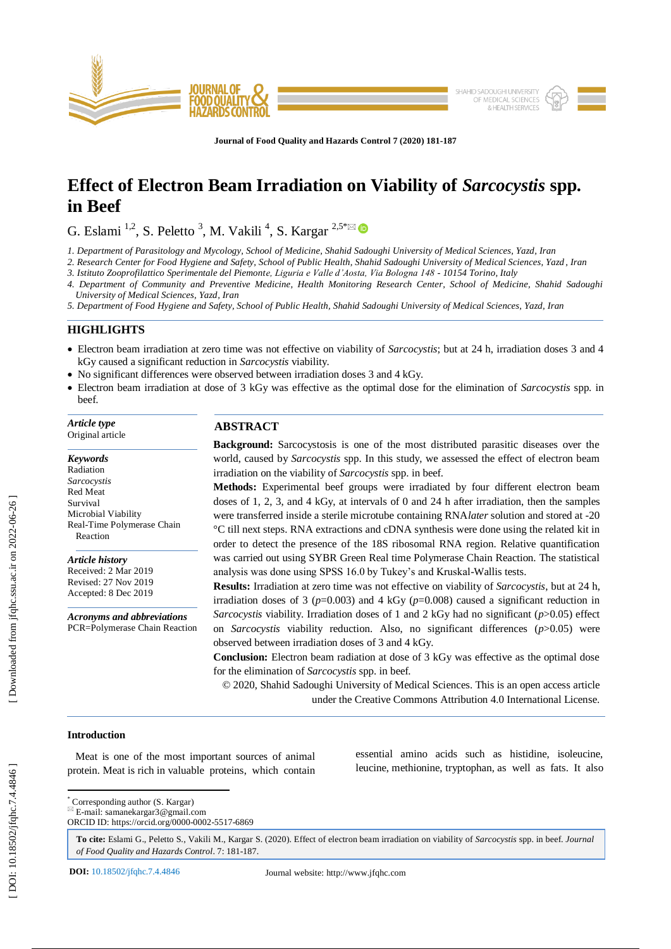

**Journal of Food Quality and Hazards Control 7 (2020) 181 - 187**

# **Effect of Electron Beam Irradiation on Viability of** *Sarcocystis* **spp. in Beef**

G. Eslami  $^{1,2}$ , S. Peletto  $^3$ , M. Vakili  $^4$ , S. Kargar  $^{2,5*}$ 

*1. Department of Parasitology and Mycology, School of Medicine, Shahid Sadoughi University of Medical Sciences, Yazd, Iran*

*2. Research Center for Food Hygiene and Safety, School of Public Health, Shahid Sadoughi University of Medical Sciences, Yazd , Iran*

*3. Istituto Zooprofilattico Sperimentale del Piemonte, Liguria e Valle d'Aosta, Via Bologna 148 - 10154 Torino, Italy*

*4. Department of Community and Preventive Medicine, Health Monitoring Research Center, School of Medicine, Shahid Sadoughi University of Medical Sciences, Yazd, Iran*

*5. Department of Food Hygiene and Safety, School of Public Health, Shahid Sadoughi University of Medical Sciences, Yazd, Iran*

## **HIGHLIGHTS**

- Electron beam irradiation at zero time was not effective on viability of *Sarcocystis* ; but at 24 h, irradiation doses 3 and 4 kGy caused a significant reduction in *Sarcocystis* viability.
- No significant differences were observed between irradiation doses 3 and 4 kGy.
- Electron beam irradiation at dose of 3 kGy was effective as the optimal dose for the elimination of *Sarcocystis* spp. in beef.

*Article type* Original article

*Keywords* Radiation *Sarcocystis* Red Meat Survival Microbial Viability Real -Time Polymerase Chain Reaction

*Article history* Received: 2 Mar 2019 Revised: 27 Nov 2019 Accepted: 8 Dec 2019

*Acronyms and abbreviations* PCR=Polymerase Chain Reaction

# **ABSTRACT**

**Background:** Sarcocystosis is one of the most distributed parasitic diseases over the world, caused by *Sarcocystis* spp. In this study, we assessed the effect of electron beam irradiation on the viability of *Sarcocystis* spp. in beef.

**Methods:** Experimental beef groups were irradiated by four different electron beam doses of 1, 2, 3, and 4 kGy, at intervals of 0 and 24 h after irradiation, then the samples were transferred inside a sterile microtube containing RNA*later* solution and stored at -20 °C till next steps. RNA extractions and cDNA synthesis were done using the related kit in order to detect the presence of the 18S ribosomal RNA region. Relative quantification was carried out using SYBR Green Real time Polymerase Chain Reaction. The statistical analysis was done using SPSS 16.0 by Tukey's and Kruskal -Wallis tests.

**Results:** Irradiation at zero time was not effective on viability of *Sarcocystis*, but at 24 h, irradiation doses of 3 ( $p=0.003$ ) and 4 kGy ( $p=0.008$ ) caused a significant reduction in *Sarcocystis* viability. Irradiation doses of 1 and 2 kGy had no significant (*p*>0.05) effect on *Sarcocystis* viability reduction. Also, no significant differences (*p*>0.05) were observed between irradiation doses of 3 and 4 kGy.

**Conclusion:** Electron beam radiation at dose of 3 kGy was effective as the optimal dose for the elimination of *Sarcocystis* spp. in beef.

© 2020, Shahid Sadoughi University of Medical Sciences. This is an open access article under the Creative Commons Attribution 4.0 International License.

> essential amino acids such as histidine, isoleucine, leucine, methionine, tryptophan, as well as fats. It also

# **Introduction**

 Meat is one of the most important sources of animal protein. Meat is rich in valuable proteins, which contain

\* Corresponding author (S. Kargar)

 $E$ -mail: samanekargar3@gmail.com ORCID ID: https://orcid.org/0000-0002-5517-6869

**To cite:** Eslami G., Peletto S., Vakili M., Kargar S. (2020). Effect of electron beam irradiation on viability of *Sarcocystis* spp. in beef. *Journal*  of Food Quality and Hazards Control. 7: 181-187.

**DOI:** 10.18502/jfqhc.7.4.4846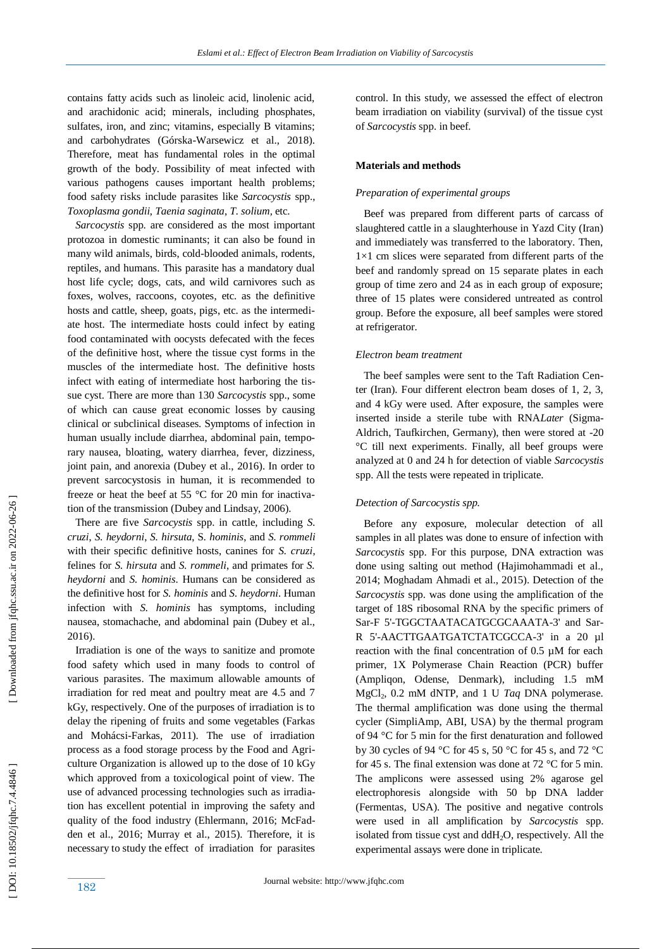contains fatty acids such as linoleic acid, linolenic acid, and arachidonic acid; minerals, including phosphates, sulfates, iron, and zinc; vitamins, especially B vitamins; and carbohydrates (Górska -Warsewicz et al., 2018). Therefore, meat has fundamental roles in the optimal growth of the body. Possibility of meat infected with various pathogens causes important health problems; food safety risks includ e parasites like *Sarcocystis* spp., *Toxoplasma gondii*, *Taenia saginata*, *T. solium,* etc.

 *Sarcocystis* spp. are considered as the most important protozoa in domestic ruminants; it can also be found in many wild animals, birds, cold -blooded animals, rodents, reptiles, and humans. This parasite has a mandatory dual host life cycle; dogs, cats, and wild carnivores such as foxes, wolves, raccoons, coyotes, etc. as the definitive hosts and cattle, sheep, goats, pigs, etc. as the intermediate host. The intermediate hosts could infect by eating food contaminated with oocysts defecated with the feces of the definitive host, where the tissue cyst forms in the muscles of the intermediate host. The definitive hosts infect with eating of intermediate host harboring the tissue cyst. There are more than 130 *Sarcocystis* spp., some of which can cause great economic losses by causing clinical or subclinical diseases. Symptoms of infection in human usually include diarrhea, abdominal pain, temporary nausea, bloating, watery diarrhea, fever, dizziness, joint pain, and anorexia (Dubey et al., 2016). In order to prevent sarcocystosis in human, it is recommended to freeze or heat the beef at 55 °C for 20 min for inactivation of the transmission (Dubey and Lindsay, 2006).

 There are five *Sarcocystis* spp. in cattle, including *S. cruzi*, *S. heydorni*, *S. hirsuta*, S*. hominis*, and *S. rommeli* with their specific definitive hosts, canines for *S. cruzi*, felines for *S. hirsuta* and *S. rommeli*, and primates for *S. heydorni* and *S. hominis*. Humans can be considered as the definitive host for *S. hominis* and *S. heydorni*. Human infection with *S. hominis* has symptoms, including nausea, stomachache, and abdominal pain (Dubey et al., 2016).

 Irradiation is one of the ways to sanitize and promote food safety which used in many foods to control of various parasites. The maximum allowable amounts of irradiation for red meat and poultry meat are 4.5 and 7 kGy, respectively. One of the purposes of irradiation is to delay the ripening of fruits and some vegetables (Farkas and Mohácsi -Farkas, 2011). The use of irradiation process as a food storage process by the Food and Agriculture Organization is allowed up to the dose of 10 kGy which approved from a toxicological point of view. The use of advanced processing technologies such as irradiation has excellent potential in improving the safety and quality of the food industry (Ehlermann, 2016; McFadden et al., 2016; Murray et al., 2015). Therefore, it is necessary to study the effect of irradiation for parasites

control. In this study, we assessed the effect of electron beam irradiation on viability (survival) of the tissue cyst of *Sarcocystis* spp. in beef.

## **Materials and methods**

## *Preparation of experimental groups*

 Beef was prepared from different parts of carcass of slaughtered cattle in a slaughterhouse in Yazd City (Iran) and immediately was transferred to the laboratory. Then,  $1\times1$  cm slices were separated from different parts of the beef and randomly spread on 15 separate plates in each group of time zero and 24 as in each group of exposure; three of 15 plates were considered untreated as control group. Before the exposure, all beef samples were stored at refrigerator.

#### *Electron beam treatment*

 The beef samples were sent to the Taft Radiation Center (Iran). Four different electron beam doses of 1, 2, 3, and 4 kGy were used. After exposure, the samples were inserted inside a sterile tube with RNA*Later* (Sigma - Aldrich, Taufkirchen, Germany), then were stored at -20 °C till next experiments. Finally, all beef groups were analyzed at 0 and 24 h for detection of viable *Sarcocystis* spp. All the tests were repeated in triplicate.

## *Detection of Sarcocystis spp.*

 Before any exposure, molecular detection of all samples in all plates was done to ensure of infection with *Sarcocystis* spp. For this purpose, DNA extraction was done using salting out method (Hajimohammadi et al., 2014; Moghadam Ahmadi et al., 2015). Detection of the *Sarcocystis* spp. was done using the amplification of the target of 18S ribosomal RNA by the specific primers of Sar-F 5'-TGGCTAATACATGCGCAAATA-3' and Sar-R 5'-AACTTGAATGATCTATCGCCA-3' in a 20 µl reaction with the final concentration of 0.5 µM for each primer, 1X Polymerase Chain Reaction (PCR) buffer (Ampliqon, Odense, Denmark), including 1.5 mM MgCl <sup>2</sup>, 0.2 mM dNTP, and 1 U *Taq* DNA polymerase. The thermal amplification was done using the thermal cycler (SimpliAmp, ABI, USA) by the thermal program of 94 °C for 5 min for the first denaturation and followed by 30 cycles of 94 °C for 45 s, 50 °C for 45 s, and 72 °C for 45 s. The final extension was done at 72 °C for 5 min. The amplicons were assessed using 2% agarose gel electrophoresis alongside with 50 bp DNA ladder (Fermentas, USA). The positive and negative controls were used in all amplification by *Sarcocystis* spp. isolated from tissue cyst and ddH <sup>2</sup>O, respectively. All the experimental assays were done in triplicate.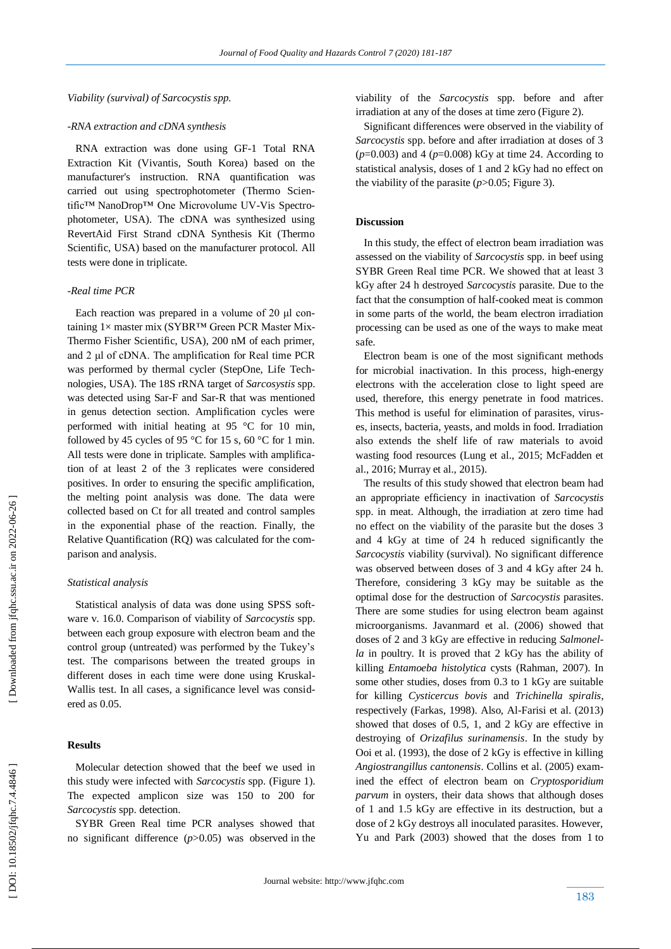## *Viability (survival) of Sarcocystis spp.*

#### *-RNA extraction and cDNA synthesis*

 RNA extraction was done using GF -1 Total RNA Extraction Kit (Vivantis, South Korea) based on the manufacturer's instruction. RNA quantification was carried out using spectrophotometer (Thermo Scientific™ NanoDrop™ One Microvolume UV-Vis Spectrophotometer, USA). The cDNA was synthesized using RevertAid First Strand cDNA Synthesis Kit (Thermo Scientific, USA) based on the manufacturer protocol *.* All tests were done in triplicate.

#### *-Real time PCR*

 Each reaction was prepared in a volume of 20 μl containing 1× master mix [\(SYBR™ Green PCR Master Mix-](https://www.thermofisher.com/order/catalog/product/4309155)[Thermo Fisher Scientific, USA\),](https://www.thermofisher.com/order/catalog/product/4309155) 200 nM of each primer, and 2 μl of cDNA. The amplification for Real time PCR was performed by thermal cycler (StepOne, Life Technologies, USA). The 18S rRNA target of *Sarcosystis* spp. was detected using Sar -F and Sar -R that was mentioned in genus detection section. Amplification cycles were performed with initial heating at 95 °C for 10 min, followed by 45 cycles of 95 °C for 15 s, 60 °C for 1 min. All tests were done in triplicate. Samples with amplification of at least 2 of the 3 replicates were considered positives. In order to ensuring the specific amplification, the melting point analysis was done. The data were collected based on Ct for all treated and control samples in the exponential phase of the reaction. Finally, the Rel ative Quantification (RQ) was calculated for the comparison and analysis.

#### *Statistical analysis*

 Statistical analysis of data was done using SPSS software v. 16.0. Comparison of viability of *Sarcocystis* spp. between each group exposure with electron beam and the control group (untreated) was performed by the Tukey's test. The comparisons between the treated groups in different doses in each time were done using Kruskal - Wallis test. In all cases, a significance level was considered as 0.05.

## **Results**

 Molecular detection showed that the beef we used in this study were infected with *Sarcocystis* spp. (Figure 1). The expected amplicon size was 150 to 200 for *Sarcocystis* spp. detection.

 SYBR Green Real time PCR analyses showed that no significant difference (*p*>0.05) was observed in the viability of the *Sarcocystis* spp. before and after irradiation at any of the doses at time zero (Figure 2).

 Significant differences were observed in the viability of *Sarcocystis* spp. before and after irradiation at doses of 3 (*p*=0.003) and 4 (*p*=0.008) kGy at time 24. According to statistical analysis, doses of 1 and 2 kGy had no effect on the viability of the parasite  $(p>0.05$ ; Figure 3).

## **Discussion**

 In this study, the effect of electron beam irradiation was assessed on the viability of *Sarcocystis* spp. in beef using SYBR Green Real time PCR. We showed that at least 3 kGy after 24 h destroyed *Sarcocystis* parasite. Due to the fact that the consumption of half-cooked meat is common in some parts of the world, the beam electron irradiation processing can be used as one of the ways to make meat safe.

 Electron beam is one of the most significant methods for microbial inactivation. In this process, high-energy electrons with the acceleration close to light speed are used, therefore, this energy penetrate in food matrices. This method is useful for elimination of parasites, viruses, insects, bacteria, yeasts, and molds in food. Irradiation also extends the shelf life of raw materials to avoid wasting food resources (Lung et al., 2015; McFadden et al., 2016; Murray et al., 2015).

 The results of this study showed that electron beam had an appropriate efficiency in inactivation of *Sarcocystis*  spp. in meat. Although, the irradiation at zero time had no effect on the viability of the parasite but the doses 3 and 4 kGy at time of 24 h reduced significantly the *Sarcocystis* viability (survival). No significant difference was observed between doses of 3 and 4 kGy after 24 h. Therefore, considering 3 kGy may be suitable as the optimal dose for the destruction of *Sarcocystis* parasites. There are some studies for using electron beam against microorganisms. Javanmard et al. (2006) showed that doses of 2 and 3 kGy are effective in reducing *Salmonella* in poultry. It is proved that 2 kGy has the ability of killing *Entamoeba histolytica* cysts (Rahman, 2007). In some other studies, doses from 0.3 to 1 kGy are suitable for killing *Cysticercus bovis* and *Trichinella spiralis*, respectively (Farkas, 1998). Also, Al -Farisi et al. (2013) showed that doses of 0.5, 1, and 2 kGy are effective in destroying of *Orizafilus surinamensis*. In the study by Ooi et al. (1993), the dose of 2 kGy is effective in killing *Angiostrangillus cantonensis*. Collins et al. (2005) examined the effect of electron beam on *Cryptosporidium parvum* in oysters, their data shows that although doses of 1 and 1.5 kGy are effective in its destruction, but a dose of 2 kGy destroys all inoculated parasites. However, Yu and Park (2003) showed that the doses from 1 to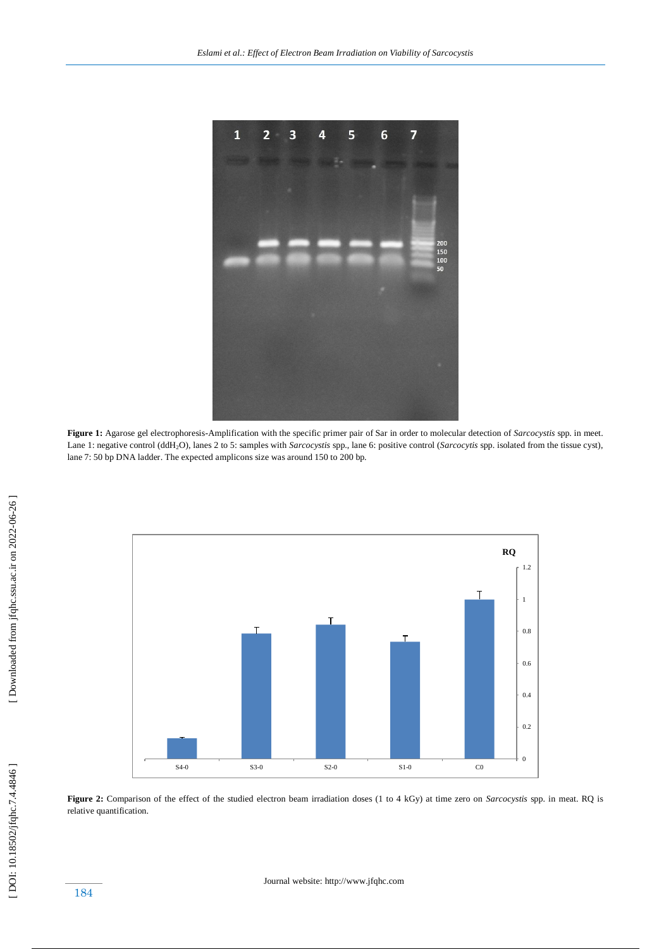

**Figure 1:** Agarose gel electrophoresis -Amplification with the specific primer pair of Sar in order to molecular detection of *Sarcocystis* spp. in meet. Lane 1: negative control (ddH <sup>2</sup>O), lanes 2 to 5: samples with *Sarcocystis* spp., lane 6: positive control (*Sarcocytis* spp. isolated from the tissue cyst), lane 7: 50 bp DNA ladder. The expected amplicons size was around 150 to 200 bp.



**Figure 2:** Comparison of the effect of the studied electron beam irradiation doses (1 to 4 kGy) at time zero on *Sarcocystis* spp. in meat. RQ is relative quantification.

Journal website: http://www.jfqhc.com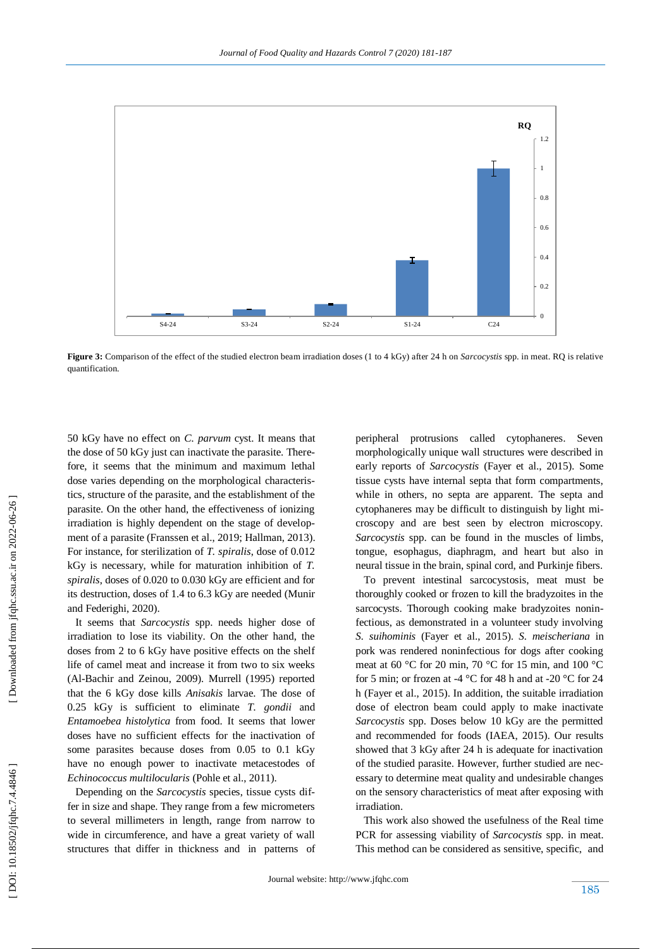

**Figure 3 :** Comparison of the effect of the studied electron beam irradiation doses (1 to 4 kGy) after 24 h on *Sarcocystis* spp. in meat. RQ is relative quantification.

50 kGy have no effect on *C. parvum* cyst. It means that the dose of 50 kGy just can inactivate the parasite. Therefore, it seems that the minimum and maximum lethal dose varies depending on the morphological characteristics, structure of the parasite, and the establishment of the parasite. On the other hand, the effectiveness of ionizing irradiation is highly dependent on the stage of development of a parasite (Franssen et al., 2019; Hallman, 2013). For instance, for sterilization of *T. spiralis*, dose of 0.012 kGy is necessary, while for maturation inhibition of *T. spiralis*, doses of 0.020 to 0.030 kGy are efficient and for its destruction, doses of 1.4 to 6.3 kGy are needed (Munir and Federighi, 2020).

 It seems that *Sarcocystis* spp. needs higher dose of irradiation to lose its viability. On the other hand, the doses from 2 to 6 kGy have positive effects on the shelf life of camel meat and increase it from two to six weeks (Al -Bachir and Zeinou, 2009). Murrell (1995) reported that the 6 kGy dose kills *Anisakis* larvae. The dose of 0.25 kGy is sufficient to eliminate *T. gondii* and *Entamoebea histolytica* from food. It seems that lower doses have no sufficient effects for the inactivation of some parasites because doses from 0.05 to 0.1 kGy have no enough power to inactivate metacestodes of *Echinococcus multilocularis* (Pohle et al., 2011).

 Depending on the *Sarcocystis* species, tissue cysts differ in size and shape. They range from a few micrometers to several millimeters in length, range from narrow to wide in circumference, and have a great variety of wall structures that differ in thickness and in patterns of peripheral protrusions called cytophaneres. Seven morphologically unique wall structures were described in early reports of *Sarcocystis* (Fayer et al., 2015). Some tissue cysts have internal septa that form compartments, while in others, no septa are apparent. The septa and cytophaneres may be difficult to distinguish by light microscopy and are best seen by electron microscopy. *Sarcocystis* spp. can be found in the muscles of limbs, tongue, esophagus, diaphragm, and heart but also in neural tissue in the brain, spinal cord, and Purkinje fibers.

 To prevent intestinal sarcocystosis, meat must be thoroughly cooked or frozen to kill the bradyzoites in the sarcocysts. Thorough cooking make bradyzoites noninfectious, as demonstrated in a volunteer study involving *S. suihominis* (Fayer et al., 2015). *S. meischeriana* in pork was rendered noninfectious for dogs after cooking meat at 60 °C for 20 min, 70 °C for 15 min, and 100 °C for 5 min; or frozen at -4  $^{\circ}$ C for 48 h and at -20  $^{\circ}$ C for 24 h (Fayer et al., 2015). In addition, the suitable irradiation dose of electron beam could apply to make inactivate *Sarcocystis* spp. Doses below 10 kGy are the permitted and recommended for foods (IAEA, 2015). Our results showed that 3 kGy after 24 h is adequate for inactivation of the studied parasite. However, further studied are necessary to determine meat quality and undesirable changes on the sensory characteristics of meat after exposing with irradiation. si-24 C24 C24 C24 C24 C36 C31 C24 C36 C4 C4 C4 KGy) after 24 h on *Sarcocystis* spp. in meat. RQ is relative morphologically unique wall structures were described in early reports of *Sarcocystis* (Fayer et al., 2015). So

 This work also showed the usefulness of the Real time PCR for assessing viability of *Sarcocystis* spp. in meat.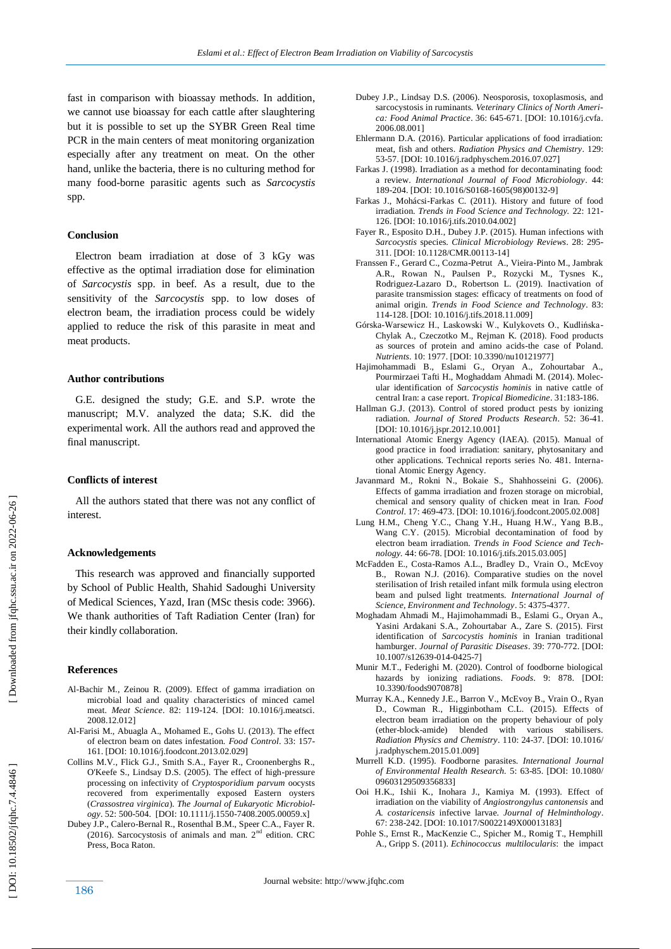fast in comparison with bioassay methods. In addition, we cannot use bioassay for each cattle after slaughtering but it is possible to set up the SYBR Green Real time PCR in the main centers of meat monitoring organization especially after any treatment on meat. On the other hand, unlike the bacteria, there is no culturing method for many food -borne parasitic agents such as *Sarcocystis*  spp.

#### **Conclusion**

 Electron beam irradiation at dose of 3 kGy was effective as the optimal irradiation dose for elimination of *Sarcocystis* spp. in beef. As a result, due to the sensitivity of the *Sarcocystis* spp. to low doses of electron beam, the irradiation process could be widely applied to reduce the risk of this parasite in meat and meat products.

#### **Author contributions**

 G.E. designed the study; G.E. and S.P. wrote the manuscript; M.V. analyzed the data; S.K. did the experimental work. All the authors read and approved the final manuscript.

#### **Conflicts of interest**

 All the authors stated that there was not any conflict of interest.

#### **Acknowledgements**

 This research was approved and financially supported by School of Public Health, Shahid Sadoughi University of Medical Sciences, Yazd, Iran (MS c thesis code: 3966). We thank authorities of Taft Radiation Center (Iran) for their kindly collaboration.

#### **Reference s**

- Al -Bachir M., Zeinou R. (2009). Effect of gamma irradiation on microbial load and quality characteristics of minced camel meat. *Meat Science* . 82: 119 -124. [DOI: 10.1016/j.meatsci. 2008.12.012]
- Al -Farisi M., Abuagla A., Mohamed E., Gohs U. (2013). The effect of electron beam on dates infestation. *Food Control*. 33: 157 - 161. [DOI: 10.1016/j.foodcont.2013.02.029]
- Collins M.V., Flick G.J., Smith S.A., Fayer R., Croonenberghs R., O'Keefe S., Lindsay D.S. (2005). The effect of high -pressure processing on infectivity of *Cryptosporidium parvum* oocysts recovered from experimentally exposed Eastern oysters (*Crassostrea virginica*). *The Journal of Eukaryotic Microbiology*. 52: 500-504. [DOI: 10.1111/j.1550-7408.2005.00059.x]
- Dubey J.P., Calero -Bernal R., Rosenthal B.M., Speer C.A., Fayer R. (2016). Sarcocystosis of animals and man.  $2<sup>nd</sup>$  edition. CRC Press, Boca Raton.
- Dubey J.P., Lindsay D.S. (2006). Neosporosis, toxoplasmosis, and sarcocystosis in ruminants. *Veterinary Clinics of North America: Food Animal Practice*. 36: 645-671. [DOI: 10.1016/j.cvfa. 2006 .08.00 1 ]
- Ehlermann D.A. (2016). Particular applications of food irradiation: meat, fish and others. *Radiation Physics and Chemistry*. 129: 53 -57. [DOI: 10.1016/j.radphyschem.2016.07.027]
- Farkas J. (1998). Irradiation as a method for decontaminating food: a review. *International Journal of Food Microbiology*. 44: 189 -204. [DOI: 10.1016/S0168 -1605(98)00132 -9]
- Farkas J., Mohácsi -Farkas C. (2011). History and future of food irradiation. *Trends in Food Science and Technology.* 22: 121 - 126. [DOI: 10.1016/j.tifs.2010.04.002]
- Fayer R., Esposito D.H., Dubey J.P. (2015). Human infections with *Sarcocystis* species. *Clinical Microbiology Reviews*. 28: 295 - 311. [DOI: 10.1128/CMR.00113 -14]
- Franssen F., Gerard C., Cozma -Petrut A., Vieira -Pinto M., Jambrak A.R., Rowan N., Paulsen P., Rozycki M., Tysnes K., Rodriguez -Lazaro D., Robertson L. (2019). Inactivation of parasite transmission stages: efficacy of treatments on food of animal origin. *Trends in Food Science and Technology .* 83: 114 -128. [DOI[: 10.1016/j.tifs.2018.11.009](https://doi.org/10.1016/j.tifs.2018.11.009) ]
- Górska -Warsewicz H., Laskowski W., Kulykovets O., Kudlińska Chylak A., Czeczotko M., Rejman K. (2018). Food products as sources of protein and amino acids -the case of Poland. *Nutrients*. 10: 1977. [DOI: 10.3390/nu10121977]
- Hajimohammadi B., Eslami G., Oryan A., Zohourtabar A., Pourmirzaei Tafti H., Moghaddam Ahmadi M. (2014). Molecular identification of *Sarcocystis hominis* in native cattle of central Iran: a case report. *Tropical Biomedicine*. 31:183 -186.
- Hallman G.J. (2013). Control of stored product pests by ionizing radiation. *Journal of Stored Products Research*. 52: 36 -41. [DOI: 10.1016/j.jspr.2012.10.001]
- International Atomic Energy Agency (IAEA). (2015). Manual of good practice in food irradiation: sanitary, phytosanitary and other applications. Technical reports series No. 481. International Atomic Energy Agency.
- Javanmard M., Rokni N., Bokaie S., Shahhosseini G. (2006). Effects of gamma irradiation and frozen storage on microbial, chemical and sensory quality of chicken meat in Iran. *Food Control*. 17: 469 -473. [DOI: 10.1016/j.foodcont.2005.02.008]
- Lung H.M., Cheng Y.C., Chang Y.H., Huang H.W., Yang B.B., Wang C.Y. (2015). Microbial decontamination of food by electron beam irradiation. *Trends in Food Science and Technology.* 44: 66-78. [DOI: 10.1016/j.tifs.2015.03.005]
- McFadden E., Costa -Ramos A.L., Bradley D., Vrain O., McEvoy B., Rowan N.J. (2016). Comparative studies on the novel sterilisation of Irish retailed infant milk formula using electron beam and pulsed light treatments. *International Journal of Science, Environment and Technology*. 5: 4375 -4377.
- Moghadam Ahmadi M., Hajimohammadi B., Eslami G., Oryan A., Yasini Ardakani S.A., Zohourtabar A., Zare S. (2015). First identification of *Sarcocystis hominis* in Iranian traditional hamburger. *Journal of Parasitic Diseases*. 39: 770 -772. [DOI: 10.1007/s12639 -014 -0425 - 7]
- Munir M.T., Federighi M. (2020). Control of foodborne biological hazards by ionizing radiations. *Foods*. 9: 878. [DOI: 10.3390/foods9070878]
- Murray K.A., Kennedy J.E., Barron V., McEvoy B., Vrain O., Ryan D., Cowman R., Higginbotham C.L. (2015). Effects of electron beam irradiation on the property behaviour of poly (ether -block -amide) blended with various stabilisers. *Radiation Physics and Chemistry*. 110: 24 -37. [DOI: 10.1016/ j.radphyschem.2015.01.009]
- Murrell K.D. (1995). Foodborne parasites. *International Journal of Environmental Health Research.* 5: 63 -85. [DOI: 10.1080/ 09603129509356833]
- Ooi H.K., Ishii K., Inohara J., Kamiya M. (1993). Effect of irradiation on the viability of *Angiostrongylus cantonensis* and *A. costaricensis* infective larvae. *Journal of Helminthology*. 67: 238 -242. [DOI: 10.1017/S0022149X00013183]
- Pohle S., Ernst R., MacKenzie C., Spicher M., Romig T., Hemphill A., Gripp S. (2011). *Echinococcus multilocularis* : the impact

DOI: 10.18502/jfqhc.7.4.4846